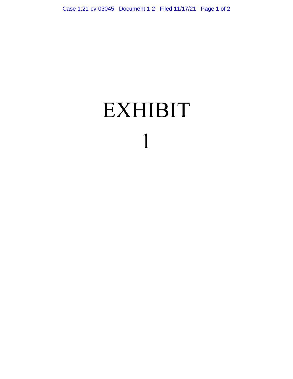## **EXHIBIT** 1